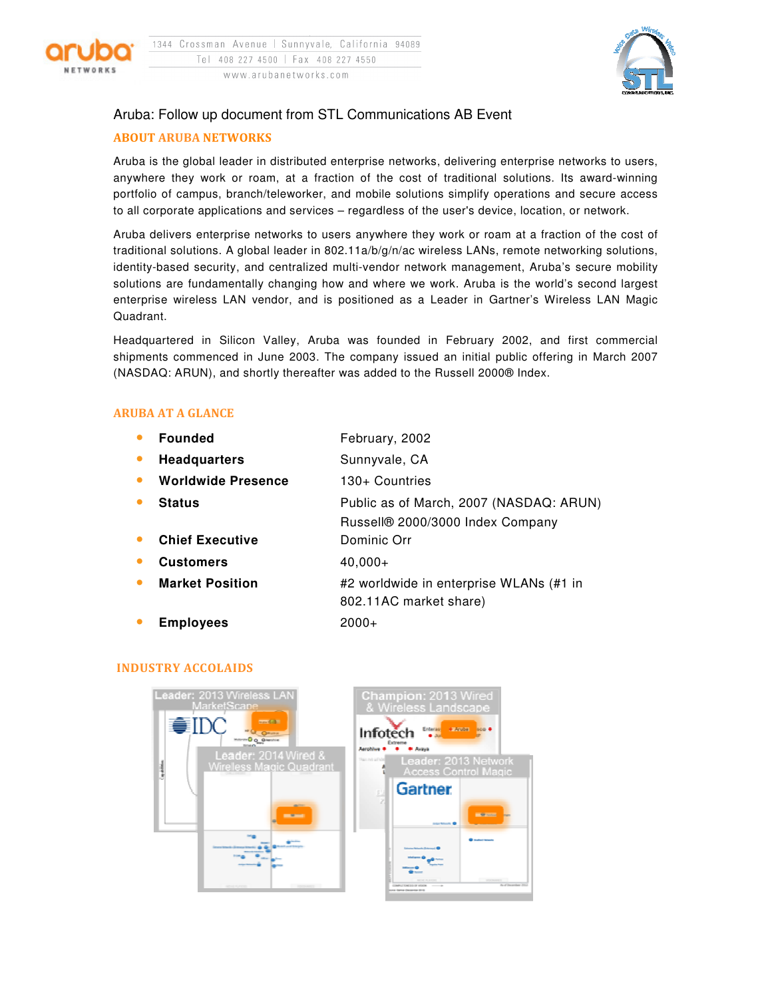



# Aruba: Follow up document from STL Communications AB Event

## ABOUT ARUBA NETWORKS

Aruba is the global leader in distributed enterprise networks, delivering enterprise networks to users, anywhere they work or roam, at a fraction of the cost of traditional solutions. Its award-winning portfolio of campus, branch/teleworker, and mobile solutions simplify operations and secure access to all corporate applications and services – regardless of the user's device, location, or network.

Aruba delivers enterprise networks to users anywhere they work or roam at a fraction of the cost of traditional solutions. A global leader in 802.11a/b/g/n/ac wireless LANs, remote networking solutions, identity-based security, and centralized multi-vendor network management, Aruba's secure mobility solutions are fundamentally changing how and where we work. Aruba is the world's second largest enterprise wireless LAN vendor, and is positioned as a Leader in Gartner's Wireless LAN Magic Quadrant.

Headquartered in Silicon Valley, Aruba was founded in February 2002, and first commercial shipments commenced in June 2003. The company issued an initial public offering in March 2007 (NASDAQ: ARUN), and shortly thereafter was added to the Russell 2000® Index.

## ARUBA AT A GLANCE

| <b>Founded</b>            | February, 2002                          |
|---------------------------|-----------------------------------------|
| <b>Headquarters</b>       | Sunnyvale, CA                           |
| <b>Worldwide Presence</b> | 130+ Countries                          |
| <b>Status</b>             | Public as of March, 2007 (NASDAQ: ARUN) |
|                           | Russell® 2000/3000 Index Company        |
| <b>Chief Executive</b>    | Dominic Orr                             |
| <b>Customers</b>          | $40,000+$                               |
| <b>Market Position</b>    | #2 worldwide in enterprise WLANs (#1 in |
|                           | 802.11AC market share)                  |
| <b>Employees</b>          | $2000+$                                 |

#### INDUSTRY ACCOLAIDS